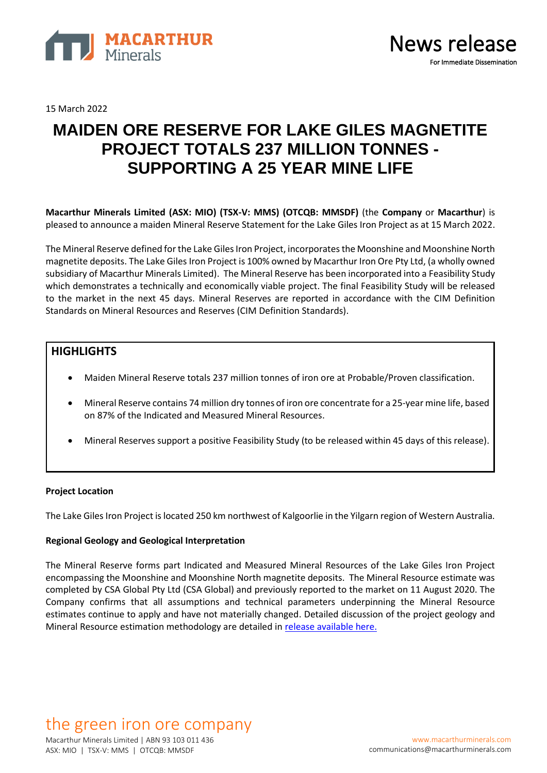

15 March 2022

# **MAIDEN ORE RESERVE FOR LAKE GILES MAGNETITE PROJECT TOTALS 237 MILLION TONNES - SUPPORTING A 25 YEAR MINE LIFE**

**Macarthur Minerals Limited (ASX: MIO) (TSX-V: MMS) (OTCQB: MMSDF)** (the **Company** or **Macarthur**) is pleased to announce a maiden Mineral Reserve Statement for the Lake Giles Iron Project as at 15 March 2022.

The Mineral Reserve defined for the Lake Giles Iron Project, incorporatesthe Moonshine and Moonshine North magnetite deposits. The Lake Giles Iron Project is 100% owned by Macarthur Iron Ore Pty Ltd, (a wholly owned subsidiary of Macarthur Minerals Limited). The Mineral Reserve has been incorporated into a Feasibility Study which demonstrates a technically and economically viable project. The final Feasibility Study will be released to the market in the next 45 days. Mineral Reserves are reported in accordance with the CIM Definition Standards on Mineral Resources and Reserves (CIM Definition Standards).

# **HIGHLIGHTS**

- Maiden Mineral Reserve totals 237 million tonnes of iron ore at Probable/Proven classification.
- Mineral Reserve contains 74 million dry tonnes of iron ore concentrate for a 25-year mine life, based on 87% of the Indicated and Measured Mineral Resources.
- Mineral Reserves support a positive Feasibility Study (to be released within 45 days of this release).

### **Project Location**

The Lake Giles Iron Project is located 250 km northwest of Kalgoorlie in the Yilgarn region of Western Australia.

### **Regional Geology and Geological Interpretation**

The Mineral Reserve forms part Indicated and Measured Mineral Resources of the Lake Giles Iron Project encompassing the Moonshine and Moonshine North magnetite deposits. The Mineral Resource estimate was completed by CSA Global Pty Ltd (CSA Global) and previously reported to the market on 11 August 2020. The Company confirms that all assumptions and technical parameters underpinning the Mineral Resource estimates continue to apply and have not materially changed. Detailed discussion of the project geology and Mineral Resource estimation methodology are detailed in [release available here.](https://macarthurminerals.com/wp-content/uploads/2020/08/MMS-NR-Resource-Update-TSXV-version-FINAL.pdf)

# the green iron ore company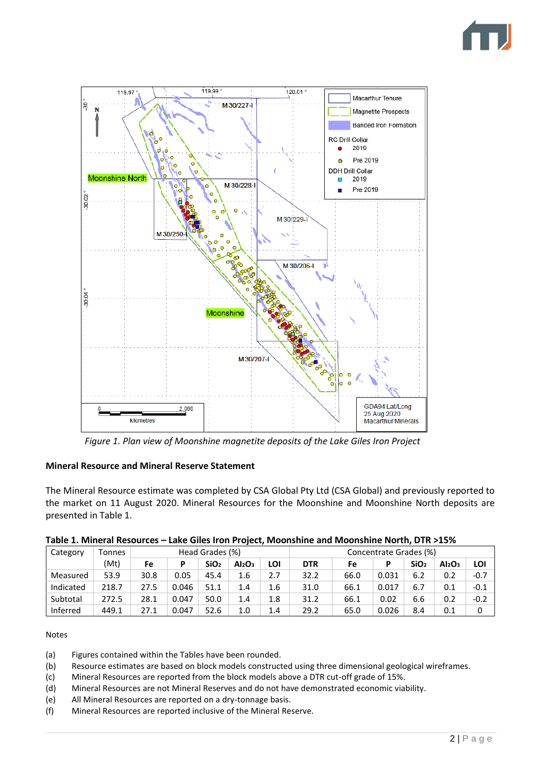



*Figure 1. Plan view of Moonshine magnetite deposits of the Lake Giles Iron Project*

# **Mineral Resource and Mineral Reserve Statement**

The Mineral Resource estimate was completed by CSA Global Pty Ltd (CSA Global) and previously reported to the market on 11 August 2020. Mineral Resources for the Moonshine and Moonshine North deposits are presented in Table 1.

|  | Table 1. Mineral Resources - Lake Giles Iron Project, Moonshine and Moonshine North, DTR >15% |  |  |  |
|--|-----------------------------------------------------------------------------------------------|--|--|--|
|  |                                                                                               |  |  |  |

| Category  | Tonnes | Head Grades (%) |       |                  |                                | Concentrate Grades (%) |            |      |       |                  |                                |        |
|-----------|--------|-----------------|-------|------------------|--------------------------------|------------------------|------------|------|-------|------------------|--------------------------------|--------|
|           | (Mt)   | Fe              | P     | SiO <sub>2</sub> | Al <sub>2</sub> O <sub>3</sub> | LOI                    | <b>DTR</b> | Fe   |       | SiO <sub>2</sub> | Al <sub>2</sub> O <sub>3</sub> | LOI    |
| Measured  | 53.9   | 30.8            | 0.05  | 45.4             | 1.6                            | 2.7                    | 32.2       | 66.0 | 0.031 | 6.2              | 0.2                            | $-0.7$ |
| Indicated | 218.7  | 27.5            | 0.046 | 51.1             | 1.4                            | 1.6                    | 31.0       | 66.1 | 0.017 | 6.7              | 0.1                            | $-0.1$ |
| Subtotal  | 272.5  | 28.1            | 0.047 | 50.0             | 1.4                            | 1.8                    | 31.2       | 66.1 | 0.02  | 6.6              | 0.2                            | $-0.2$ |
| Inferred  | 449.1  | 27.1            | 0.047 | 52.6             | 1.0                            | 1.4                    | 29.2       | 65.0 | 0.026 | 8.4              | 0.1                            | 0      |

### Notes

- (a) Figures contained within the Tables have been rounded.
- (b) Resource estimates are based on block models constructed using three dimensional geological wireframes.
- (c) Mineral Resources are reported from the block models above a DTR cut-off grade of 15%.
- (d) Mineral Resources are not Mineral Reserves and do not have demonstrated economic viability.
- (e) All Mineral Resources are reported on a dry-tonnage basis.
- (f) Mineral Resources are reported inclusive of the Mineral Reserve.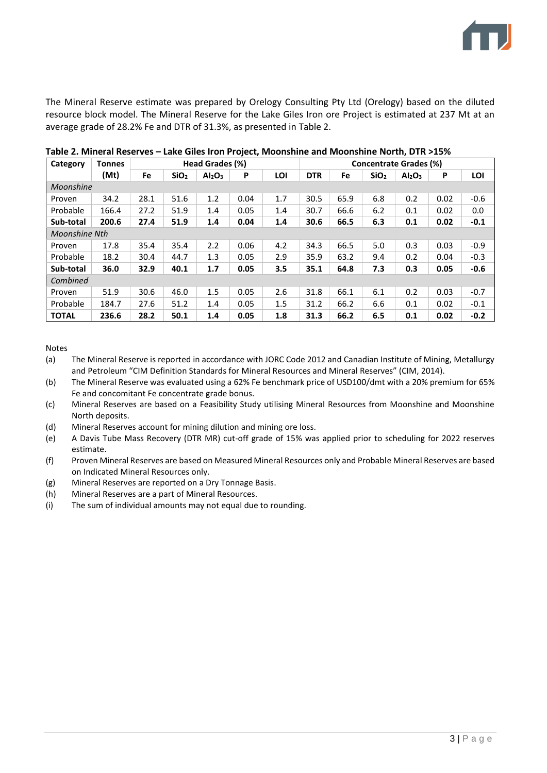

The Mineral Reserve estimate was prepared by Orelogy Consulting Pty Ltd (Orelogy) based on the diluted resource block model. The Mineral Reserve for the Lake Giles Iron ore Project is estimated at 237 Mt at an average grade of 28.2% Fe and DTR of 31.3%, as presented in Table 2.

| Category      | Tonnes | Head Grades (%) |                  |                                |      |     | Concentrate Grades (%) |      |                  |                                |      |        |
|---------------|--------|-----------------|------------------|--------------------------------|------|-----|------------------------|------|------------------|--------------------------------|------|--------|
|               | (Mt)   | Fe              | SiO <sub>2</sub> | Al <sub>2</sub> O <sub>3</sub> | P    | LOI | <b>DTR</b>             | Fe   | SiO <sub>2</sub> | Al <sub>2</sub> O <sub>3</sub> | P    | LOI    |
| Moonshine     |        |                 |                  |                                |      |     |                        |      |                  |                                |      |        |
| Proven        | 34.2   | 28.1            | 51.6             | 1.2                            | 0.04 | 1.7 | 30.5                   | 65.9 | 6.8              | 0.2                            | 0.02 | $-0.6$ |
| Probable      | 166.4  | 27.2            | 51.9             | 1.4                            | 0.05 | 1.4 | 30.7                   | 66.6 | 6.2              | 0.1                            | 0.02 | 0.0    |
| Sub-total     | 200.6  | 27.4            | 51.9             | 1.4                            | 0.04 | 1.4 | 30.6                   | 66.5 | 6.3              | 0.1                            | 0.02 | $-0.1$ |
| Moonshine Nth |        |                 |                  |                                |      |     |                        |      |                  |                                |      |        |
| Proven        | 17.8   | 35.4            | 35.4             | 2.2                            | 0.06 | 4.2 | 34.3                   | 66.5 | 5.0              | 0.3                            | 0.03 | $-0.9$ |
| Probable      | 18.2   | 30.4            | 44.7             | 1.3                            | 0.05 | 2.9 | 35.9                   | 63.2 | 9.4              | 0.2                            | 0.04 | $-0.3$ |
| Sub-total     | 36.0   | 32.9            | 40.1             | 1.7                            | 0.05 | 3.5 | 35.1                   | 64.8 | 7.3              | 0.3                            | 0.05 | $-0.6$ |
| Combined      |        |                 |                  |                                |      |     |                        |      |                  |                                |      |        |
| Proven        | 51.9   | 30.6            | 46.0             | 1.5                            | 0.05 | 2.6 | 31.8                   | 66.1 | 6.1              | 0.2                            | 0.03 | $-0.7$ |
| Probable      | 184.7  | 27.6            | 51.2             | 1.4                            | 0.05 | 1.5 | 31.2                   | 66.2 | 6.6              | 0.1                            | 0.02 | $-0.1$ |
| <b>TOTAL</b>  | 236.6  | 28.2            | 50.1             | 1.4                            | 0.05 | 1.8 | 31.3                   | 66.2 | 6.5              | 0.1                            | 0.02 | $-0.2$ |

**Table 2. Mineral Reserves – Lake Giles Iron Project, Moonshine and Moonshine North, DTR >15%**

Notes

(a) The Mineral Reserve is reported in accordance with JORC Code 2012 and Canadian Institute of Mining, Metallurgy and Petroleum "CIM Definition Standards for Mineral Resources and Mineral Reserves" (CIM, 2014).

- (b) The Mineral Reserve was evaluated using a 62% Fe benchmark price of USD100/dmt with a 20% premium for 65% Fe and concomitant Fe concentrate grade bonus.
- (c) Mineral Reserves are based on a Feasibility Study utilising Mineral Resources from Moonshine and Moonshine North deposits.
- (d) Mineral Reserves account for mining dilution and mining ore loss.
- (e) A Davis Tube Mass Recovery (DTR MR) cut-off grade of 15% was applied prior to scheduling for 2022 reserves estimate.
- (f) Proven Mineral Reserves are based on Measured Mineral Resources only and Probable Mineral Reserves are based on Indicated Mineral Resources only.
- (g) Mineral Reserves are reported on a Dry Tonnage Basis.
- (h) Mineral Reserves are a part of Mineral Resources.
- (i) The sum of individual amounts may not equal due to rounding.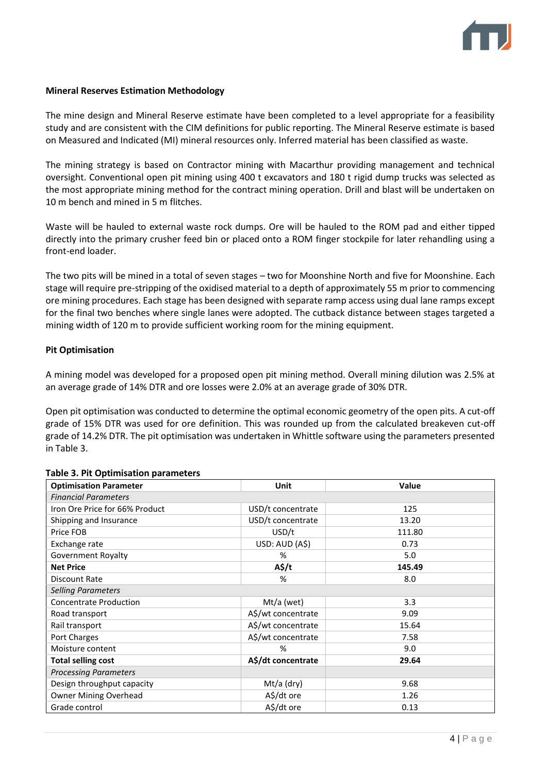

#### **Mineral Reserves Estimation Methodology**

The mine design and Mineral Reserve estimate have been completed to a level appropriate for a feasibility study and are consistent with the CIM definitions for public reporting. The Mineral Reserve estimate is based on Measured and Indicated (MI) mineral resources only. Inferred material has been classified as waste.

The mining strategy is based on Contractor mining with Macarthur providing management and technical oversight. Conventional open pit mining using 400 t excavators and 180 t rigid dump trucks was selected as the most appropriate mining method for the contract mining operation. Drill and blast will be undertaken on 10 m bench and mined in 5 m flitches.

Waste will be hauled to external waste rock dumps. Ore will be hauled to the ROM pad and either tipped directly into the primary crusher feed bin or placed onto a ROM finger stockpile for later rehandling using a front-end loader.

The two pits will be mined in a total of seven stages – two for Moonshine North and five for Moonshine. Each stage will require pre-stripping of the oxidised material to a depth of approximately 55 m prior to commencing ore mining procedures. Each stage has been designed with separate ramp access using dual lane ramps except for the final two benches where single lanes were adopted. The cutback distance between stages targeted a mining width of 120 m to provide sufficient working room for the mining equipment.

#### **Pit Optimisation**

A mining model was developed for a proposed open pit mining method. Overall mining dilution was 2.5% at an average grade of 14% DTR and ore losses were 2.0% at an average grade of 30% DTR.

Open pit optimisation was conducted to determine the optimal economic geometry of the open pits. A cut-off grade of 15% DTR was used for ore definition. This was rounded up from the calculated breakeven cut-off grade of 14.2% DTR. The pit optimisation was undertaken in Whittle software using the parameters presented in Table 3.

| <b>Optimisation Parameter</b>  | Unit               | <b>Value</b> |  |  |  |  |  |  |  |
|--------------------------------|--------------------|--------------|--|--|--|--|--|--|--|
| <b>Financial Parameters</b>    |                    |              |  |  |  |  |  |  |  |
| Iron Ore Price for 66% Product | USD/t concentrate  | 125          |  |  |  |  |  |  |  |
| Shipping and Insurance         | USD/t concentrate  | 13.20        |  |  |  |  |  |  |  |
| Price FOB                      | USD/t              | 111.80       |  |  |  |  |  |  |  |
| Exchange rate                  | USD: AUD (A\$)     | 0.73         |  |  |  |  |  |  |  |
| Government Royalty             | %                  | 5.0          |  |  |  |  |  |  |  |
| <b>Net Price</b>               | $A\frac{2}{3}$ /t  | 145.49       |  |  |  |  |  |  |  |
| Discount Rate                  | %                  | 8.0          |  |  |  |  |  |  |  |
| <b>Selling Parameters</b>      |                    |              |  |  |  |  |  |  |  |
| <b>Concentrate Production</b>  | Mt/a (wet)         | 3.3          |  |  |  |  |  |  |  |
| Road transport                 | A\$/wt concentrate | 9.09         |  |  |  |  |  |  |  |
| Rail transport                 | A\$/wt concentrate | 15.64        |  |  |  |  |  |  |  |
| Port Charges                   | A\$/wt concentrate | 7.58         |  |  |  |  |  |  |  |
| Moisture content               | %                  | 9.0          |  |  |  |  |  |  |  |
| <b>Total selling cost</b>      | A\$/dt concentrate | 29.64        |  |  |  |  |  |  |  |
| <b>Processing Parameters</b>   |                    |              |  |  |  |  |  |  |  |
| Design throughput capacity     | Mt/a (dry)         | 9.68         |  |  |  |  |  |  |  |
| <b>Owner Mining Overhead</b>   | A\$/dt ore         | 1.26         |  |  |  |  |  |  |  |
| Grade control                  | A\$/dt ore         | 0.13         |  |  |  |  |  |  |  |

#### **Table 3. Pit Optimisation parameters**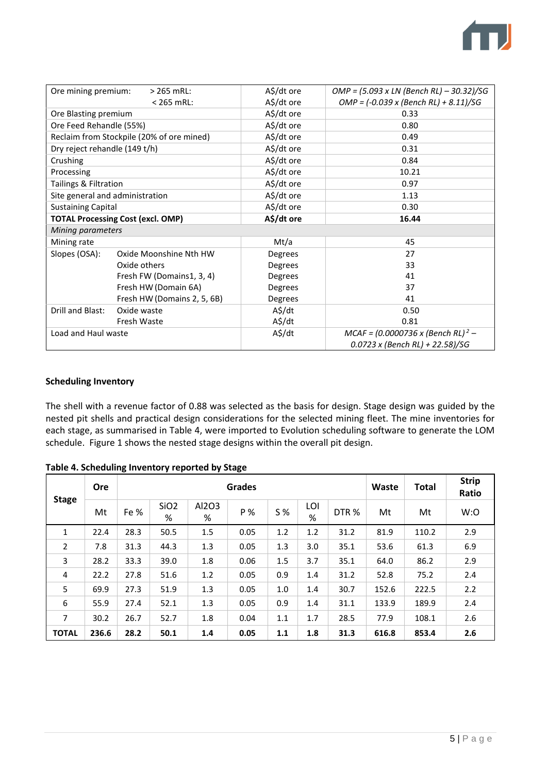

| Ore mining premium:             | $>$ 265 mRL:                              | A\$/dt ore | OMP = (5.093 x LN (Bench RL) - 30.32)/SG                                        |
|---------------------------------|-------------------------------------------|------------|---------------------------------------------------------------------------------|
|                                 | $< 265$ mRL:                              | A\$/dt ore | $OMP = (-0.039 \times (Bench \, RL) + 8.11)/SG$                                 |
| Ore Blasting premium            |                                           | A\$/dt ore | 0.33                                                                            |
| Ore Feed Rehandle (55%)         |                                           | A\$/dt ore | 0.80                                                                            |
|                                 | Reclaim from Stockpile (20% of ore mined) | A\$/dt ore | 0.49                                                                            |
| Dry reject rehandle (149 t/h)   |                                           | A\$/dt ore | 0.31                                                                            |
| Crushing                        |                                           | A\$/dt ore | 0.84                                                                            |
| Processing                      |                                           | A\$/dt ore | 10.21                                                                           |
| Tailings & Filtration           |                                           | A\$/dt ore | 0.97                                                                            |
| Site general and administration |                                           | A\$/dt ore | 1.13                                                                            |
| <b>Sustaining Capital</b>       |                                           | A\$/dt ore | 0.30                                                                            |
|                                 | <b>TOTAL Processing Cost (excl. OMP)</b>  | A\$/dt ore | 16.44                                                                           |
| Mining parameters               |                                           |            |                                                                                 |
| Mining rate                     |                                           | Mt/a       | 45                                                                              |
| Slopes (OSA):                   | Oxide Moonshine Nth HW                    | Degrees    | 27                                                                              |
|                                 | Oxide others                              | Degrees    | 33                                                                              |
|                                 | Fresh FW (Domains1, 3, 4)                 | Degrees    | 41                                                                              |
|                                 | Fresh HW (Domain 6A)                      | Degrees    | 37                                                                              |
|                                 | Fresh HW (Domains 2, 5, 6B)               | Degrees    | 41                                                                              |
| Drill and Blast:                | Oxide waste                               | A\$/dt     | 0.50                                                                            |
|                                 | Fresh Waste                               | A\$/dt     | 0.81                                                                            |
| Load and Haul waste             |                                           | A\$/dt     | $MCAF = (0.0000736 \times (Bench \, RL)^2 -$<br>0.0723 x (Bench RL) + 22.58)/SG |

#### **Scheduling Inventory**

The shell with a revenue factor of 0.88 was selected as the basis for design. Stage design was guided by the nested pit shells and practical design considerations for the selected mining fleet. The mine inventories for each stage, as summarised in Table 4, were imported to Evolution scheduling software to generate the LOM schedule. Figure 1 shows the nested stage designs within the overall pit design.

|                | <b>Ore</b> | <b>Grades</b> |                       |            |      |            |          |                  |       | <b>Total</b> | <b>Strip</b><br>Ratio |
|----------------|------------|---------------|-----------------------|------------|------|------------|----------|------------------|-------|--------------|-----------------------|
| <b>Stage</b>   | Mt         | Fe %          | SiO <sub>2</sub><br>% | Al2O3<br>% | P %  | <b>S</b> % | LOI<br>% | DTR <sub>%</sub> | Mt    | Mt           | W:O                   |
| 1              | 22.4       | 28.3          | 50.5                  | 1.5        | 0.05 | 1.2        | 1.2      | 31.2             | 81.9  | 110.2        | 2.9                   |
| $\overline{2}$ | 7.8        | 31.3          | 44.3                  | 1.3        | 0.05 | 1.3        | 3.0      | 35.1             | 53.6  | 61.3         | 6.9                   |
| 3              | 28.2       | 33.3          | 39.0                  | 1.8        | 0.06 | 1.5        | 3.7      | 35.1             | 64.0  | 86.2         | 2.9                   |
| 4              | 22.2       | 27.8          | 51.6                  | 1.2        | 0.05 | 0.9        | 1.4      | 31.2             | 52.8  | 75.2         | 2.4                   |
| 5              | 69.9       | 27.3          | 51.9                  | 1.3        | 0.05 | 1.0        | 1.4      | 30.7             | 152.6 | 222.5        | 2.2                   |
| 6              | 55.9       | 27.4          | 52.1                  | 1.3        | 0.05 | 0.9        | 1.4      | 31.1             | 133.9 | 189.9        | 2.4                   |
| 7              | 30.2       | 26.7          | 52.7                  | 1.8        | 0.04 | 1.1        | 1.7      | 28.5             | 77.9  | 108.1        | 2.6                   |
| <b>TOTAL</b>   | 236.6      | 28.2          | 50.1                  | 1.4        | 0.05 | 1.1        | 1.8      | 31.3             | 616.8 | 853.4        | 2.6                   |

#### **Table 4. Scheduling Inventory reported by Stage**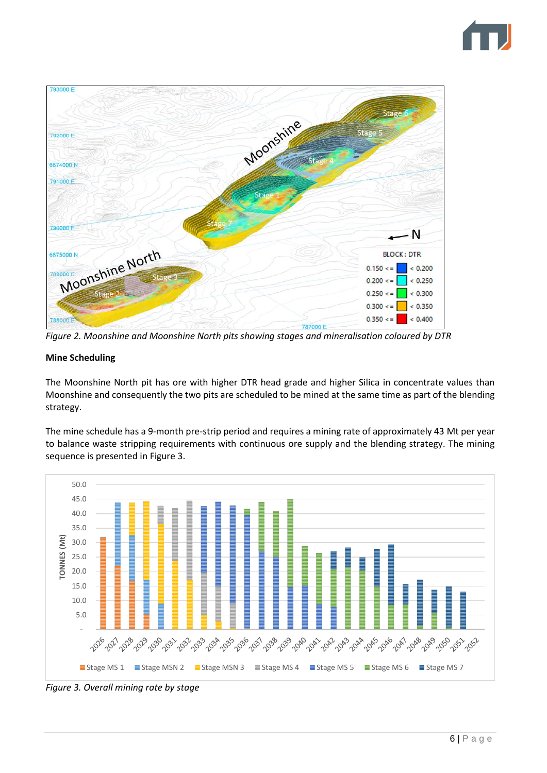



*Figure 2. Moonshine and Moonshine North pits showing stages and mineralisation coloured by DTR*

## **Mine Scheduling**

The Moonshine North pit has ore with higher DTR head grade and higher Silica in concentrate values than Moonshine and consequently the two pits are scheduled to be mined at the same time as part of the blending strategy.

The mine schedule has a 9-month pre-strip period and requires a mining rate of approximately 43 Mt per year to balance waste stripping requirements with continuous ore supply and the blending strategy. The mining sequence is presented in Figure 3.



*Figure 3. Overall mining rate by stage*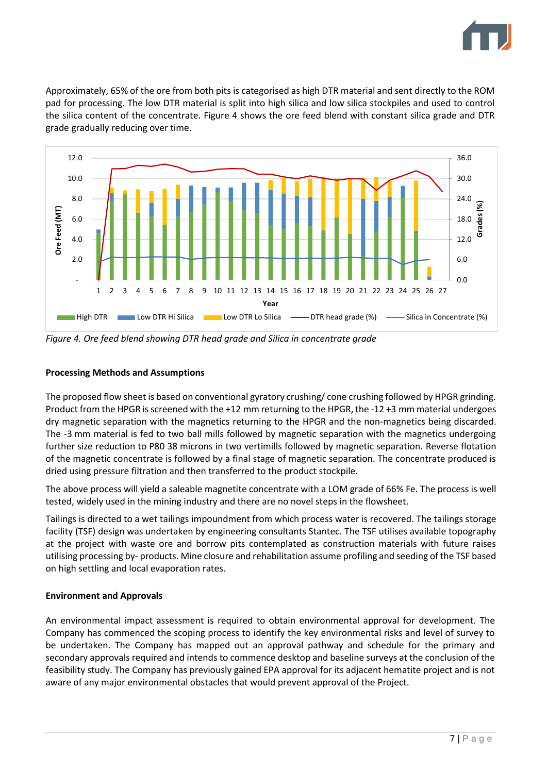

Approximately, 65% of the ore from both pits is categorised as high DTR material and sent directly to the ROM pad for processing. The low DTR material is split into high silica and low silica stockpiles and used to control the silica content of the concentrate. Figure 4 shows the ore feed blend with constant silica grade and DTR grade gradually reducing over time.



*Figure 4. Ore feed blend showing DTR head grade and Silica in concentrate grade* 

## **Processing Methods and Assumptions**

The proposed flow sheet is based on conventional gyratory crushing/ cone crushing followed by HPGR grinding. Product from the HPGR is screened with the +12 mm returning to the HPGR, the -12 +3 mm material undergoes dry magnetic separation with the magnetics returning to the HPGR and the non-magnetics being discarded. The -3 mm material is fed to two ball mills followed by magnetic separation with the magnetics undergoing further size reduction to P80 38 microns in two vertimills followed by magnetic separation. Reverse flotation of the magnetic concentrate is followed by a final stage of magnetic separation. The concentrate produced is dried using pressure filtration and then transferred to the product stockpile.

The above process will yield a saleable magnetite concentrate with a LOM grade of 66% Fe. The process is well tested, widely used in the mining industry and there are no novel steps in the flowsheet.

Tailings is directed to a wet tailings impoundment from which process water is recovered. The tailings storage facility (TSF) design was undertaken by engineering consultants Stantec. The TSF utilises available topography at the project with waste ore and borrow pits contemplated as construction materials with future raises utilising processing by- products. Mine closure and rehabilitation assume profiling and seeding of the TSF based on high settling and local evaporation rates.

### **Environment and Approvals**

An environmental impact assessment is required to obtain environmental approval for development. The Company has commenced the scoping process to identify the key environmental risks and level of survey to be undertaken. The Company has mapped out an approval pathway and schedule for the primary and secondary approvals required and intends to commence desktop and baseline surveys at the conclusion of the feasibility study. The Company has previously gained EPA approval for its adjacent hematite project and is not aware of any major environmental obstacles that would prevent approval of the Project.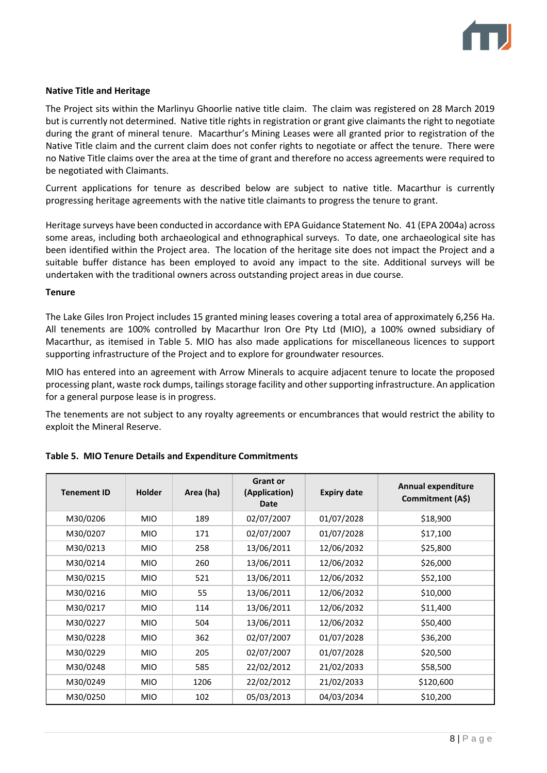

### **Native Title and Heritage**

The Project sits within the Marlinyu Ghoorlie native title claim. The claim was registered on 28 March 2019 but is currently not determined. Native title rights in registration or grant give claimants the right to negotiate during the grant of mineral tenure. Macarthur's Mining Leases were all granted prior to registration of the Native Title claim and the current claim does not confer rights to negotiate or affect the tenure. There were no Native Title claims over the area at the time of grant and therefore no access agreements were required to be negotiated with Claimants.

Current applications for tenure as described below are subject to native title. Macarthur is currently progressing heritage agreements with the native title claimants to progress the tenure to grant.

Heritage surveys have been conducted in accordance with EPA Guidance Statement No. 41 (EPA 2004a) across some areas, including both archaeological and ethnographical surveys. To date, one archaeological site has been identified within the Project area. The location of the heritage site does not impact the Project and a suitable buffer distance has been employed to avoid any impact to the site. Additional surveys will be undertaken with the traditional owners across outstanding project areas in due course.

#### **Tenure**

The Lake Giles Iron Project includes 15 granted mining leases covering a total area of approximately 6,256 Ha. All tenements are 100% controlled by Macarthur Iron Ore Pty Ltd (MIO), a 100% owned subsidiary of Macarthur, as itemised in Table 5. MIO has also made applications for miscellaneous licences to support supporting infrastructure of the Project and to explore for groundwater resources.

MIO has entered into an agreement with Arrow Minerals to acquire adjacent tenure to locate the proposed processing plant, waste rock dumps, tailings storage facility and other supporting infrastructure. An application for a general purpose lease is in progress.

The tenements are not subject to any royalty agreements or encumbrances that would restrict the ability to exploit the Mineral Reserve.

| <b>Tenement ID</b> | <b>Holder</b> | Area (ha) | <b>Grant or</b><br>(Application)<br>Date | <b>Expiry date</b> | <b>Annual expenditure</b><br>Commitment (A\$) |
|--------------------|---------------|-----------|------------------------------------------|--------------------|-----------------------------------------------|
| M30/0206           | <b>MIO</b>    | 189       | 02/07/2007                               | 01/07/2028         | \$18,900                                      |
| M30/0207           | <b>MIO</b>    | 171       | 02/07/2007                               | 01/07/2028         | \$17,100                                      |
| M30/0213           | <b>MIO</b>    | 258       | 13/06/2011                               | 12/06/2032         | \$25,800                                      |
| M30/0214           | <b>MIO</b>    | 260       | 13/06/2011                               | 12/06/2032         | \$26,000                                      |
| M30/0215           | <b>MIO</b>    | 521       | 13/06/2011                               | 12/06/2032         | \$52,100                                      |
| M30/0216           | <b>MIO</b>    | 55        | 13/06/2011                               | 12/06/2032         | \$10,000                                      |
| M30/0217           | MIO.          | 114       | 13/06/2011                               | 12/06/2032         | \$11,400                                      |
| M30/0227           | <b>MIO</b>    | 504       | 13/06/2011                               | 12/06/2032         | \$50,400                                      |
| M30/0228           | <b>MIO</b>    | 362       | 02/07/2007                               | 01/07/2028         | \$36,200                                      |
| M30/0229           | MIO.          | 205       | 02/07/2007                               | 01/07/2028         | \$20,500                                      |
| M30/0248           | <b>MIO</b>    | 585       | 22/02/2012                               | 21/02/2033         | \$58,500                                      |
| M30/0249           | <b>MIO</b>    | 1206      | 22/02/2012                               | 21/02/2033         | \$120,600                                     |
| M30/0250           | <b>MIO</b>    | 102       | 05/03/2013                               | 04/03/2034         | \$10,200                                      |

### **Table 5. MIO Tenure Details and Expenditure Commitments**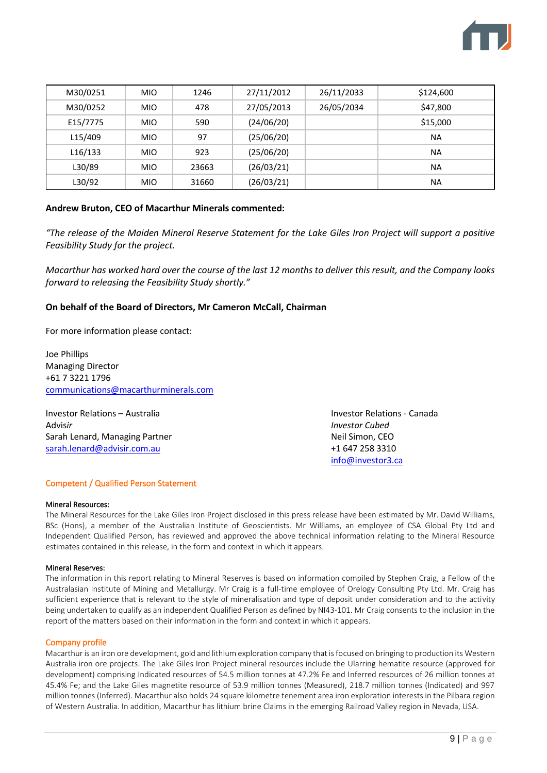

| M30/0251 | <b>MIO</b> | 1246  | 27/11/2012 | 26/11/2033 | \$124,600 |
|----------|------------|-------|------------|------------|-----------|
|          |            |       |            |            |           |
| M30/0252 | <b>MIO</b> | 478   | 27/05/2013 | 26/05/2034 | \$47,800  |
| E15/7775 | <b>MIO</b> | 590   | (24/06/20) |            | \$15,000  |
|          |            |       |            |            |           |
| L15/409  | <b>MIO</b> | 97    | (25/06/20) |            | <b>NA</b> |
|          |            |       |            |            |           |
| L16/133  | <b>MIO</b> | 923   | (25/06/20) |            | <b>NA</b> |
| L30/89   | <b>MIO</b> | 23663 | (26/03/21) |            | <b>NA</b> |
|          |            |       |            |            |           |
| L30/92   | <b>MIO</b> | 31660 | (26/03/21) |            | <b>NA</b> |

#### **Andrew Bruton, CEO of Macarthur Minerals commented:**

*"The release of the Maiden Mineral Reserve Statement for the Lake Giles Iron Project will support a positive Feasibility Study for the project.* 

*Macarthur has worked hard over the course of the last 12 months to deliver this result, and the Company looks forward to releasing the Feasibility Study shortly."*

#### **On behalf of the Board of Directors, Mr Cameron McCall, Chairman**

For more information please contact:

Joe Phillips Managing Director +61 7 3221 1796 [communications@macarthurminerals.com](about:blank)

Investor Relations – Australia Investor Relations - Canada Advis*ir Investor Cubed* Sarah Lenard, Managing Partner Neil Simon, CEO [sarah.lenard@advisir.com.au](mailto:alex.bunney@advisir.com.au) +1 647 258 3310

[info@investor3.ca](about:blank)

#### Competent / Qualified Person Statement

#### Mineral Resources:

The Mineral Resources for the Lake Giles Iron Project disclosed in this press release have been estimated by Mr. David Williams, BSc (Hons), a member of the Australian Institute of Geoscientists. Mr Williams, an employee of CSA Global Pty Ltd and Independent Qualified Person, has reviewed and approved the above technical information relating to the Mineral Resource estimates contained in this release, in the form and context in which it appears.

#### Mineral Reserves:

The information in this report relating to Mineral Reserves is based on information compiled by Stephen Craig, a Fellow of the Australasian Institute of Mining and Metallurgy. Mr Craig is a full-time employee of Orelogy Consulting Pty Ltd. Mr. Craig has sufficient experience that is relevant to the style of mineralisation and type of deposit under consideration and to the activity being undertaken to qualify as an independent Qualified Person as defined by NI43-101. Mr Craig consents to the inclusion in the report of the matters based on their information in the form and context in which it appears.

#### Company profile

Macarthur is an iron ore development, gold and lithium exploration company that is focused on bringing to production its Western Australia iron ore projects. The Lake Giles Iron Project mineral resources include the Ularring hematite resource (approved for development) comprising Indicated resources of 54.5 million tonnes at 47.2% Fe and Inferred resources of 26 million tonnes at 45.4% Fe; and the Lake Giles magnetite resource of 53.9 million tonnes (Measured), 218.7 million tonnes (Indicated) and 997 million tonnes (Inferred). Macarthur also holds 24 square kilometre tenement area iron exploration interests in the Pilbara region of Western Australia. In addition, Macarthur has lithium brine Claims in the emerging Railroad Valley region in Nevada, USA.